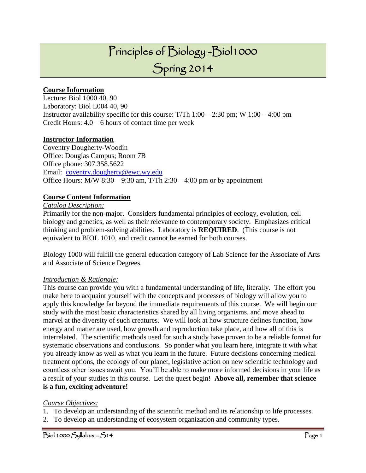## Principles of Biology -Biol1000

## Spring 2014

#### **Course Information**

Lecture: Biol 1000 40, 90 Laboratory: Biol L004 40, 90 Instructor availability specific for this course: T/Th  $1:00 - 2:30$  pm; W  $1:00 - 4:00$  pm Credit Hours:  $4.0 - 6$  hours of contact time per week

#### **Instructor Information**

Coventry Dougherty-Woodin Office: Douglas Campus; Room 7B Office phone: 307.358.5622 Email: [coventry.dougherty@ewc.wy.edu](mailto:coventry.dougherty@ewc.wy.edu) Office Hours: M/W  $8:30 - 9:30$  am, T/Th  $2:30 - 4:00$  pm or by appointment

#### **Course Content Information**

#### *Catalog Description:*

Primarily for the non-major. Considers fundamental principles of ecology, evolution, cell biology and genetics, as well as their relevance to contemporary society. Emphasizes critical thinking and problem-solving abilities. Laboratory is **REQUIRED**. (This course is not equivalent to BIOL 1010, and credit cannot be earned for both courses.

Biology 1000 will fulfill the general education category of Lab Science for the Associate of Arts and Associate of Science Degrees.

#### *Introduction & Rationale:*

This course can provide you with a fundamental understanding of life, literally. The effort you make here to acquaint yourself with the concepts and processes of biology will allow you to apply this knowledge far beyond the immediate requirements of this course. We will begin our study with the most basic characteristics shared by all living organisms, and move ahead to marvel at the diversity of such creatures. We will look at how structure defines function, how energy and matter are used, how growth and reproduction take place, and how all of this is interrelated. The scientific methods used for such a study have proven to be a reliable format for systematic observations and conclusions. So ponder what you learn here, integrate it with what you already know as well as what you learn in the future. Future decisions concerning medical treatment options, the ecology of our planet, legislative action on new scientific technology and countless other issues await you. You'll be able to make more informed decisions in your life as a result of your studies in this course. Let the quest begin! **Above all, remember that science is a fun, exciting adventure!**

#### *Course Objectives:*

- 1. To develop an understanding of the scientific method and its relationship to life processes.
- 2. To develop an understanding of ecosystem organization and community types.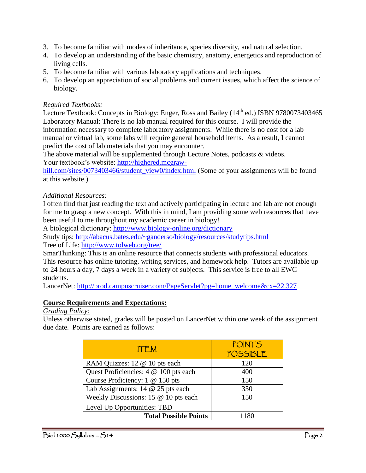- 3. To become familiar with modes of inheritance, species diversity, and natural selection.
- 4. To develop an understanding of the basic chemistry, anatomy, energetics and reproduction of living cells.
- 5. To become familiar with various laboratory applications and techniques.
- 6. To develop an appreciation of social problems and current issues, which affect the science of biology.

## *Required Textbooks:*

Lecture Textbook: Concepts in Biology; Enger, Ross and Bailey (14<sup>th</sup> ed.) ISBN 9780073403465 Laboratory Manual: There is no lab manual required for this course. I will provide the information necessary to complete laboratory assignments. While there is no cost for a lab manual or virtual lab, some labs will require general household items. As a result, I cannot predict the cost of lab materials that you may encounter.

The above material will be supplemented through Lecture Notes, podcasts & videos. Your textbook's website: [http://highered.mcgraw-](http://highered.mcgraw-hill.com/sites/0073403466/student_view0/index.html)

[hill.com/sites/0073403466/student\\_view0/index.html](http://highered.mcgraw-hill.com/sites/0073403466/student_view0/index.html) (Some of your assignments will be found at this website.)

#### *Additional Resources:*

I often find that just reading the text and actively participating in lecture and lab are not enough for me to grasp a new concept. With this in mind, I am providing some web resources that have been useful to me throughout my academic career in biology!

A biological dictionary:<http://www.biology-online.org/dictionary>

Study tips:<http://abacus.bates.edu/~ganderso/biology/resources/studytips.html> Tree of Life:<http://www.tolweb.org/tree/>

SmarThinking: This is an online resource that connects students with professional educators. This resource has online tutoring, writing services, and homework help. Tutors are available up to 24 hours a day, 7 days a week in a variety of subjects. This service is free to all EWC students.

LancerNet: [http://prod.campuscruiser.com/PageServlet?pg=home\\_welcome&cx=22.327](http://prod.campuscruiser.com/PageServlet?pg=home_welcome&cx=22.327)

#### **Course Requirements and Expectations:**

*Grading Policy:*

Unless otherwise stated, grades will be posted on LancerNet within one week of the assignment due date. Points are earned as follows:

| <b>ITEM</b>                           | <b>POINTS</b><br>POSSIBLE |
|---------------------------------------|---------------------------|
| RAM Quizzes: 12 @ 10 pts each         | 120                       |
| Quest Proficiencies: 4 @ 100 pts each | 400                       |
| Course Proficiency: 1 @ 150 pts       | 150                       |
| Lab Assignments: $14 \& 25$ pts each  | 350                       |
| Weekly Discussions: 15 @ 10 pts each  | 150                       |
| Level Up Opportunities: TBD           |                           |
| <b>Total Possible Points</b>          | 1180                      |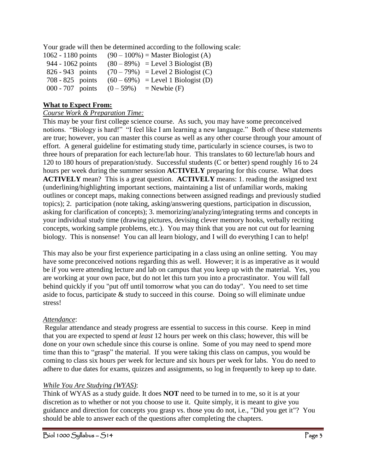Your grade will then be determined according to the following scale:

| $1062 - 1180$ points | $(90-100\%)$ = Master Biologist (A) |
|----------------------|-------------------------------------|
| 944 - 1062 points    | $(80-89%)$ = Level 3 Biologist (B)  |
| 826 - 943 points     | $(70-79%)$ = Level 2 Biologist (C)  |
| $708 - 825$ points   | $(60-69%)$ = Level 1 Biologist (D)  |
| 000 - 707 points     | $(0 - 59\%)$ = Newbie (F)           |

## **What to Expect From:**

## *Course Work & Preparation Time:*

This may be your first college science course. As such, you may have some preconceived notions. "Biology is hard!" "I feel like I am learning a new language." Both of these statements are true; however, you can master this course as well as any other course through your amount of effort. A general guideline for estimating study time, particularly in science courses, is two to three hours of preparation for each lecture/lab hour. This translates to 60 lecture/lab hours and 120 to 180 hours of preparation/study. Successful students (C or better) spend roughly 16 to 24 hours per week during the summer session **ACTIVELY** preparing for this course. What does **ACTIVELY** mean? This is a great question. **ACTIVELY** means: 1. reading the assigned text (underlining/highlighting important sections, maintaining a list of unfamiliar words, making outlines or concept maps, making connections between assigned readings and previously studied topics); 2. participation (note taking, asking/answering questions, participation in discussion, asking for clarification of concepts); 3. memorizing/analyzing/integrating terms and concepts in your individual study time (drawing pictures, devising clever memory hooks, verbally reciting concepts, working sample problems, etc.). You may think that you are not cut out for learning biology. This is nonsense! You can all learn biology, and I will do everything I can to help!

This may also be your first experience participating in a class using an online setting. You may have some preconceived notions regarding this as well. However; it is as imperative as it would be if you were attending lecture and lab on campus that you keep up with the material. Yes, you are working at your own pace, but do not let this turn you into a procrastinator. You will fall behind quickly if you "put off until tomorrow what you can do today". You need to set time aside to focus, participate & study to succeed in this course. Doing so will eliminate undue stress!

## *Attendance*:

Regular attendance and steady progress are essential to success in this course. Keep in mind that you are expected to spend *at least* 12 hours per week on this class; however, this will be done on your own schedule since this course is online. Some of you may need to spend more time than this to "grasp" the material. If you were taking this class on campus, you would be coming to class six hours per week for lecture and six hours per week for labs. You do need to adhere to due dates for exams, quizzes and assignments, so log in frequently to keep up to date.

## *While You Are Studying (WYAS)*:

Think of WYAS as a study guide. It does **NOT** need to be turned in to me, so it is at your discretion as to whether or not you choose to use it. Quite simply, it is meant to give you guidance and direction for concepts you grasp vs. those you do not, i.e., "Did you get it"? You should be able to answer each of the questions after completing the chapters.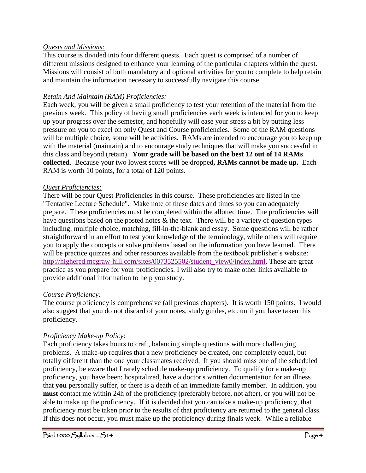#### *Quests and Missions:*

This course is divided into four different quests. Each quest is comprised of a number of different missions designed to enhance your learning of the particular chapters within the quest. Missions will consist of both mandatory and optional activities for you to complete to help retain and maintain the information necessary to successfully navigate this course.

#### *Retain And Maintain (RAM) Proficiencies:*

Each week, you will be given a small proficiency to test your retention of the material from the previous week. This policy of having small proficiencies each week is intended for you to keep up your progress over the semester, and hopefully will ease your stress a bit by putting less pressure on you to excel on only Quest and Course proficiencies. Some of the RAM questions will be multiple choice, some will be activities. RAMs are intended to encourage you to keep up with the material (maintain) and to encourage study techniques that will make you successful in this class and beyond (retain). **Your grade will be based on the best 12 out of 14 RAMs collected**. Because your two lowest scores will be dropped**, RAMs cannot be made up.** Each RAM is worth 10 points, for a total of 120 points.

#### *Quest Proficiencies:*

There will be four Quest Proficiencies in this course. These proficiencies are listed in the "Tentative Lecture Schedule". Make note of these dates and times so you can adequately prepare. These proficiencies must be completed within the allotted time. The proficiencies will have questions based on the posted notes  $\&$  the text. There will be a variety of question types including: multiple choice, matching, fill-in-the-blank and essay. Some questions will be rather straightforward in an effort to test your knowledge of the terminology, while others will require you to apply the concepts or solve problems based on the information you have learned. There will be practice quizzes and other resources available from the textbook publisher's website: [http://highered.mcgraw-hill.com/sites/0073525502/student\\_view0/index.html.](http://highered.mcgraw-hill.com/sites/0073525502/student_view0/index.html) These are great practice as you prepare for your proficiencies. I will also try to make other links available to provide additional information to help you study.

#### *Course Proficiency:*

The course proficiency is comprehensive (all previous chapters). It is worth 150 points. I would also suggest that you do not discard of your notes, study guides, etc. until you have taken this proficiency.

#### *Proficiency Make-up Policy*:

Each proficiency takes hours to craft, balancing simple questions with more challenging problems. A make-up requires that a new proficiency be created, one completely equal, but totally different than the one your classmates received. If you should miss one of the scheduled proficiency, be aware that I rarely schedule make-up proficiency. To qualify for a make-up proficiency, you have been: hospitalized, have a doctor's written documentation for an illness that **you** personally suffer, or there is a death of an immediate family member. In addition, you **must** contact me within 24h of the proficiency (preferably before, not after), or you will not be able to make up the proficiency. If it is decided that you can take a make-up proficiency, that proficiency must be taken prior to the results of that proficiency are returned to the general class. If this does not occur, you must make up the proficiency during finals week. While a reliable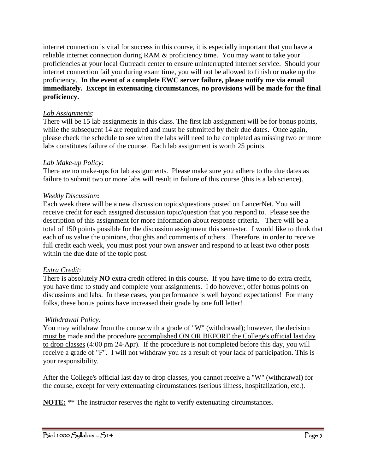internet connection is vital for success in this course, it is especially important that you have a reliable internet connection during RAM & proficiency time. You may want to take your proficiencies at your local Outreach center to ensure uninterrupted internet service. Should your internet connection fail you during exam time, you will not be allowed to finish or make up the proficiency. **In the event of a complete EWC server failure, please notify me via email immediately. Except in extenuating circumstances, no provisions will be made for the final proficiency.**

#### *Lab Assignments*:

There will be 15 lab assignments in this class. The first lab assignment will be for bonus points, while the subsequent 14 are required and must be submitted by their due dates. Once again, please check the schedule to see when the labs will need to be completed as missing two or more labs constitutes failure of the course. Each lab assignment is worth 25 points.

## *Lab Make-up Policy*:

There are no make-ups for lab assignments. Please make sure you adhere to the due dates as failure to submit two or more labs will result in failure of this course (this is a lab science).

## *Weekly Discussion***:**

Each week there will be a new discussion topics/questions posted on LancerNet. You will receive credit for each assigned discussion topic/question that you respond to. Please see the description of this assignment for more information about response criteria. There will be a total of 150 points possible for the discussion assignment this semester. I would like to think that each of us value the opinions, thoughts and comments of others. Therefore, in order to receive full credit each week, you must post your own answer and respond to at least two other posts within the due date of the topic post.

## *Extra Credit*:

There is absolutely **NO** extra credit offered in this course. If you have time to do extra credit, you have time to study and complete your assignments. I do however, offer bonus points on discussions and labs. In these cases, you performance is well beyond expectations! For many folks, these bonus points have increased their grade by one full letter!

## *Withdrawal Policy:*

You may withdraw from the course with a grade of "W" (withdrawal); however, the decision must be made and the procedure accomplished ON OR BEFORE the College's official last day to drop classes (4:00 pm 24-Apr). If the procedure is not completed before this day, you will receive a grade of "F". I will not withdraw you as a result of your lack of participation. This is your responsibility.

After the College's official last day to drop classes, you cannot receive a "W" (withdrawal) for the course, except for very extenuating circumstances (serious illness, hospitalization, etc.).

**NOTE:** \*\* The instructor reserves the right to verify extenuating circumstances.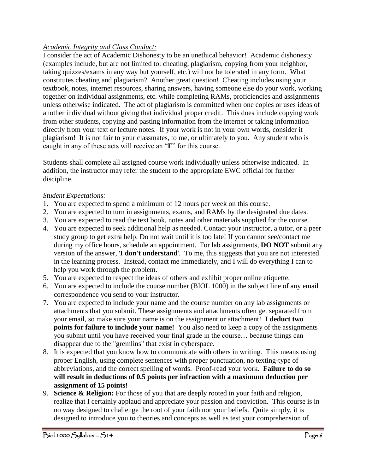## *Academic Integrity and Class Conduct:*

I consider the act of Academic Dishonesty to be an unethical behavior! Academic dishonesty (examples include, but are not limited to: cheating, plagiarism, copying from your neighbor, taking quizzes/exams in any way but yourself, etc.) will not be tolerated in any form. What constitutes cheating and plagiarism? Another great question! Cheating includes using your textbook, notes, internet resources, sharing answers, having someone else do your work, working together on individual assignments, etc. while completing RAMs, proficiencies and assignments unless otherwise indicated. The act of plagiarism is committed when one copies or uses ideas of another individual without giving that individual proper credit. This does include copying work from other students, copying and pasting information from the internet or taking information directly from your text or lecture notes. If your work is not in your own words, consider it plagiarism! It is not fair to your classmates, to me, or ultimately to you. Any student who is caught in any of these acts will receive an "**F**" for this course.

Students shall complete all assigned course work individually unless otherwise indicated. In addition, the instructor may refer the student to the appropriate EWC official for further discipline.

## *Student Expectations:*

- 1. You are expected to spend a minimum of 12 hours per week on this course.
- 2. You are expected to turn in assignments, exams, and RAMs by the designated due dates.
- 3. You are expected to read the text book, notes and other materials supplied for the course.
- 4. You are expected to seek additional help as needed. Contact your instructor, a tutor, or a peer study group to get extra help. Do not wait until it is too late! If you cannot see/contact me during my office hours, schedule an appointment. For lab assignments, **DO NOT** submit any version of the answer, '**I don't understand**'. To me, this suggests that you are not interested in the learning process. Instead, contact me immediately, and I will do everything I can to help you work through the problem.
- 5. You are expected to respect the ideas of others and exhibit proper online etiquette.
- 6. You are expected to include the course number (BIOL 1000) in the subject line of any email correspondence you send to your instructor.
- 7. You are expected to include your name and the course number on any lab assignments or attachments that you submit. These assignments and attachments often get separated from your email, so make sure your name is on the assignment or attachment! **I deduct two points for failure to include your name!** You also need to keep a copy of the assignments you submit until you have received your final grade in the course… because things can disappear due to the "gremlins" that exist in cyberspace.
- 8. It is expected that you know how to communicate with others in writing. This means using proper English, using complete sentences with proper punctuation, no texting-type of abbreviations, and the correct spelling of words. Proof-read your work. **Failure to do so will result in deductions of 0.5 points per infraction with a maximum deduction per assignment of 15 points!**
- 9. **Science & Religion:** For those of you that are deeply rooted in your faith and religion, realize that I certainly applaud and appreciate your passion and conviction. This course is in no way designed to challenge the root of your faith nor your beliefs. Quite simply, it is designed to introduce you to theories and concepts as well as test your comprehension of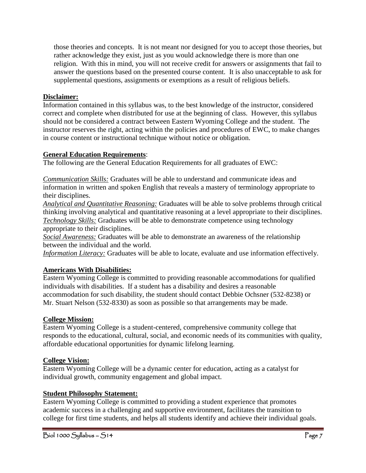those theories and concepts. It is not meant nor designed for you to accept those theories, but rather acknowledge they exist, just as you would acknowledge there is more than one religion. With this in mind, you will not receive credit for answers or assignments that fail to answer the questions based on the presented course content. It is also unacceptable to ask for supplemental questions, assignments or exemptions as a result of religious beliefs.

## **Disclaimer:**

Information contained in this syllabus was, to the best knowledge of the instructor, considered correct and complete when distributed for use at the beginning of class. However, this syllabus should not be considered a contract between Eastern Wyoming College and the student. The instructor reserves the right, acting within the policies and procedures of EWC, to make changes in course content or instructional technique without notice or obligation.

## **General Education Requirements**:

The following are the General Education Requirements for all graduates of EWC:

*Communication Skills:* Graduates will be able to understand and communicate ideas and information in written and spoken English that reveals a mastery of terminology appropriate to their disciplines.

*Analytical and Quantitative Reasoning:* Graduates will be able to solve problems through critical thinking involving analytical and quantitative reasoning at a level appropriate to their disciplines. *Technology Skills:* Graduates will be able to demonstrate competence using technology appropriate to their disciplines.

*Social Awareness:* Graduates will be able to demonstrate an awareness of the relationship between the individual and the world.

*Information Literacy:* Graduates will be able to locate, evaluate and use information effectively.

## **Americans With Disabilities:**

Eastern Wyoming College is committed to providing reasonable accommodations for qualified individuals with disabilities. If a student has a disability and desires a reasonable accommodation for such disability, the student should contact Debbie Ochsner (532-8238) or Mr. Stuart Nelson (532-8330) as soon as possible so that arrangements may be made.

## **College Mission:**

Eastern Wyoming College is a student-centered, comprehensive community college that responds to the educational, cultural, social, and economic needs of its communities with quality, affordable educational opportunities for dynamic lifelong learning.

## **College Vision:**

Eastern Wyoming College will be a dynamic center for education, acting as a catalyst for individual growth, community engagement and global impact.

## **Student Philosophy Statement:**

Eastern Wyoming College is committed to providing a student experience that promotes academic success in a challenging and supportive environment, facilitates the transition to college for first time students, and helps all students identify and achieve their individual goals.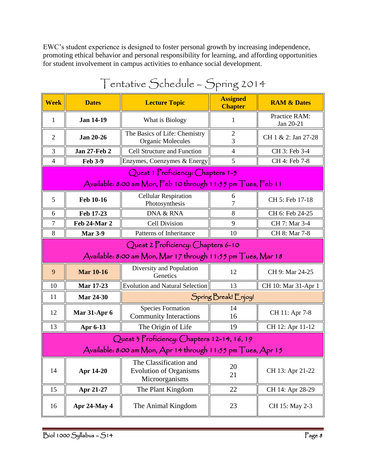EWC's student experience is designed to foster personal growth by increasing independence, promoting ethical behavior and personal responsibility for learning, and affording opportunities for student involvement in campus activities to enhance social development.

| entative $\bigcup$ chedule – $\bigcup$ pring 2014                                                  |                     |                                                                           |                                   |                            |  |
|----------------------------------------------------------------------------------------------------|---------------------|---------------------------------------------------------------------------|-----------------------------------|----------------------------|--|
| <b>Week</b>                                                                                        | <b>Dates</b>        | <b>Lecture Topic</b>                                                      | <b>Assigned</b><br><b>Chapter</b> | <b>RAM &amp; Dates</b>     |  |
| 1                                                                                                  | <b>Jan 14-19</b>    | What is Biology                                                           | 1                                 | Practice RAM:<br>Jan 20-21 |  |
| $\mathfrak{2}$                                                                                     | <b>Jan 20-26</b>    | The Basics of Life: Chemistry<br><b>Organic Molecules</b>                 | 2<br>3                            | CH 1 & 2: Jan 27-28        |  |
| 3                                                                                                  | <b>Jan 27-Feb 2</b> | Cell Structure and Function<br>$\overline{4}$                             |                                   | CH 3: Feb 3-4              |  |
| 4                                                                                                  | <b>Feb 3-9</b>      | Enzymes, Coenzymes & Energy                                               | 5                                 | CH 4: Feb 7-8              |  |
| Quest 1 Proficiency: Chapters 1-5<br>Available: 8:00 am Mon, Feb 10 through 11:55 pm Tues, Feb 11  |                     |                                                                           |                                   |                            |  |
| 5                                                                                                  | Feb 10-16           | <b>Cellular Respiration</b><br>Photosynthesis                             | 6<br>7                            | CH 5: Feb 17-18            |  |
| 6                                                                                                  | Feb 17-23           | DNA & RNA                                                                 | 8                                 | CH 6: Feb 24-25            |  |
| 7                                                                                                  | Feb 24-Mar 2        | <b>Cell Division</b><br>9                                                 |                                   | CH 7: Mar 3-4              |  |
| 8                                                                                                  | <b>Mar 3-9</b>      | Patterns of Inheritance                                                   | 10                                | CH 8: Mar 7-8              |  |
| Quest 2 Proficiency: Chapters 6-10<br>Available: 8:00 am Mon, Mar 17 through 11:55 pm Tues, Mar 18 |                     |                                                                           |                                   |                            |  |
| 9                                                                                                  | <b>Mar 10-16</b>    | Diversity and Population<br>Genetics                                      | 12                                | CH 9: Mar 24-25            |  |
| 10                                                                                                 | <b>Mar 17-23</b>    | <b>Evolution and Natural Selection</b>                                    | 13                                | CH 10: Mar 31-Apr 1        |  |
| 11                                                                                                 | <b>Mar 24-30</b>    | Spring Break! Enjoy!                                                      |                                   |                            |  |
| 12                                                                                                 | <b>Mar 31-Apr 6</b> | <b>Species Formation</b><br><b>Community Interactions</b>                 | 14<br>16                          | CH 11: Apr 7-8             |  |
| 13                                                                                                 | Apr 6-13            | The Origin of Life                                                        | 19                                | CH 12: Apr 11-12           |  |
| Quest 3 Proficiency: Chapters 12-14, 16, 19                                                        |                     |                                                                           |                                   |                            |  |
| Available: 8:00 am Mon, Apr 14 through 11:55 pm Tues, Apr 15                                       |                     |                                                                           |                                   |                            |  |
| 14                                                                                                 | Apr 14-20           | The Classification and<br><b>Evolution of Organisms</b><br>Microorganisms | 20<br>21                          | CH 13: Apr 21-22           |  |
| 15                                                                                                 | Apr 21-27           | The Plant Kingdom                                                         | 22                                | CH 14: Apr 28-29           |  |
| 16                                                                                                 | Apr 24-May 4        | The Animal Kingdom                                                        | 23                                | CH 15: May 2-3             |  |

# Tentative Schedule – Spring 2014